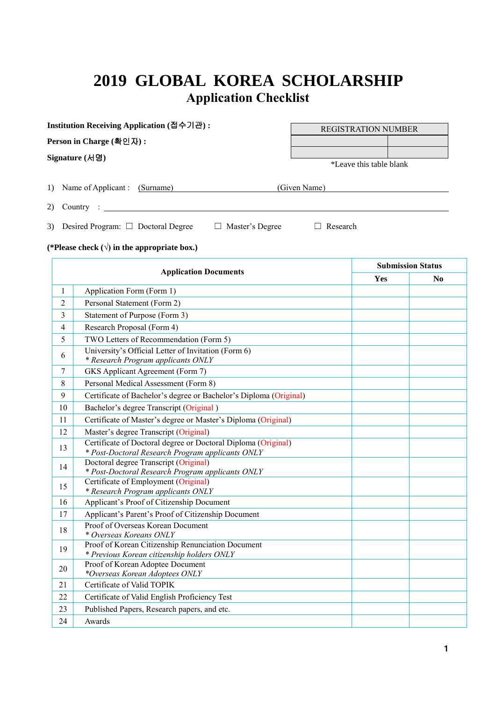### **2019 GLOBAL KOREA SCHOLARSHIP Application Checklist**

|                | Institution Receiving Application (접수기관):                                                 | <b>REGISTRATION NUMBER</b> |                          |  |  |  |  |
|----------------|-------------------------------------------------------------------------------------------|----------------------------|--------------------------|--|--|--|--|
|                | Person in Charge (확인자):                                                                   |                            |                          |  |  |  |  |
|                | Signature $(Hg)$                                                                          |                            |                          |  |  |  |  |
|                |                                                                                           | *Leave this table blank    |                          |  |  |  |  |
| 1)             | Name of Applicant : (Surname)                                                             | (Given Name)               |                          |  |  |  |  |
| 2)             | Country : $\frac{1}{\sqrt{1-\frac{1}{2}}\left(1-\frac{1}{2}\right)}$                      |                            |                          |  |  |  |  |
| 3)             | Desired Program: $\Box$ Doctoral Degree<br>$\Box$ Master's Degree                         | Research                   |                          |  |  |  |  |
|                | (*Please check $(\sqrt{})$ in the appropriate box.)                                       |                            |                          |  |  |  |  |
|                | <b>Application Documents</b>                                                              |                            | <b>Submission Status</b> |  |  |  |  |
|                |                                                                                           | <b>Yes</b>                 | No.                      |  |  |  |  |
| $\mathbf{I}$   | Application Form (Form 1)                                                                 |                            |                          |  |  |  |  |
| $\mathfrak{D}$ | Personal Statement (Form 2)                                                               |                            |                          |  |  |  |  |
| 3              | Statement of Purpose (Form 3)                                                             |                            |                          |  |  |  |  |
| $\overline{4}$ | Research Proposal (Form 4)                                                                |                            |                          |  |  |  |  |
| 5              | TWO Letters of Recommendation (Form 5)                                                    |                            |                          |  |  |  |  |
| 6              | University's Official Letter of Invitation (Form 6)<br>* Research Program annlicants ONLY |                            |                          |  |  |  |  |

| C  | I WO Letters of Recommendation (Form 5)                                                                           |  |
|----|-------------------------------------------------------------------------------------------------------------------|--|
| 6  | University's Official Letter of Invitation (Form 6)<br>* Research Program applicants ONLY                         |  |
| 7  | GKS Applicant Agreement (Form 7)                                                                                  |  |
| 8  | Personal Medical Assessment (Form 8)                                                                              |  |
| 9  | Certificate of Bachelor's degree or Bachelor's Diploma (Original)                                                 |  |
| 10 | Bachelor's degree Transcript (Original)                                                                           |  |
| 11 | Certificate of Master's degree or Master's Diploma (Original)                                                     |  |
| 12 | Master's degree Transcript (Original)                                                                             |  |
| 13 | Certificate of Doctoral degree or Doctoral Diploma (Original)<br>* Post-Doctoral Research Program applicants ONLY |  |
| 14 | Doctoral degree Transcript (Original)<br>* Post-Doctoral Research Program applicants ONLY                         |  |
| 15 | Certificate of Employment (Original)<br>* Research Program applicants ONLY                                        |  |
| 16 | Applicant's Proof of Citizenship Document                                                                         |  |
| 17 | Applicant's Parent's Proof of Citizenship Document                                                                |  |
| 18 | Proof of Overseas Korean Document<br>* Overseas Koreans ONLY                                                      |  |
| 19 | Proof of Korean Citizenship Renunciation Document<br>* Previous Korean citizenship holders ONLY                   |  |
| 20 | Proof of Korean Adoptee Document<br>*Overseas Korean Adoptees ONLY                                                |  |
| 21 | Certificate of Valid TOPIK                                                                                        |  |
| 22 | Certificate of Valid English Proficiency Test                                                                     |  |
| 23 | Published Papers, Research papers, and etc.                                                                       |  |
| 24 | Awards                                                                                                            |  |
|    |                                                                                                                   |  |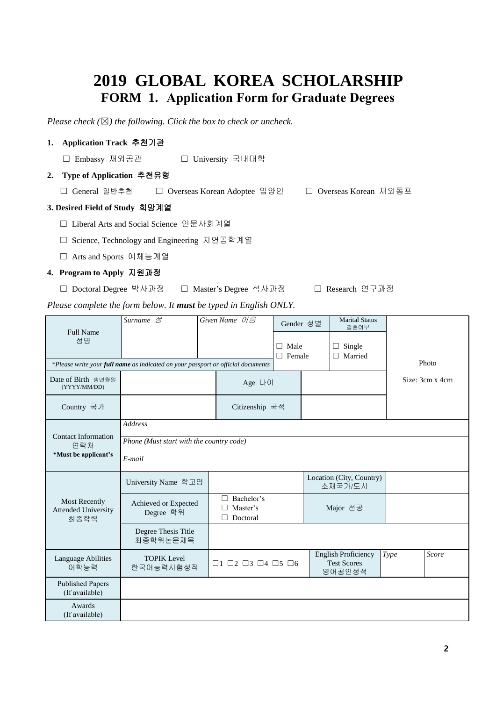#### **2019 GLOBAL KOREA SCHOLARSHIP FORM 1. Application Form for Graduate Degrees**

*Please check (*☒*) the following. Click the box to check or uncheck.* 

#### **1. Application Track** 추천기관

☐ Embassy 재외공관 ☐ University 국내대학

#### **2. Type of Application** 추천유형

☐ General 일반추천 ☐ Overseas Korean Adoptee 입양인 ☐ Overseas Korean 재외동포

#### **3. Desired Field of Study** 희망계열

- ☐ Liberal Arts and Social Science 인문사회계열
- ☐ Science, Technology and Engineering 자연공학계열
- ☐ Arts and Sports 예체능계열

#### **4. Program to Apply** 지원과정

☐ Doctoral Degree 박사과정 ☐ Master's Degree 석사과정 ☐ Research 연구과정

*Please complete the form below. It must be typed in English ONLY.*

|                                                            | $\overline{Surname}$ $\triangleleft$                                             |  | Given Name $0/\epsilon$                               | Gender 성별                 |  | <b>Marital Status</b><br>결혼여부                              |      |                 |  |  |
|------------------------------------------------------------|----------------------------------------------------------------------------------|--|-------------------------------------------------------|---------------------------|--|------------------------------------------------------------|------|-----------------|--|--|
| Full Name<br>성명                                            |                                                                                  |  |                                                       | Male<br>П.<br>П<br>Female |  | Single<br>$\Box$<br>П<br>Married                           |      |                 |  |  |
|                                                            | *Please write your full name as indicated on your passport or official documents |  |                                                       |                           |  |                                                            |      | Photo           |  |  |
| Date of Birth 생년월일<br>(YYYY/MM/DD)                         |                                                                                  |  | Age LHOI                                              |                           |  |                                                            |      | Size: 3cm x 4cm |  |  |
| Country 국가                                                 |                                                                                  |  | Citizenship 국적                                        |                           |  |                                                            |      |                 |  |  |
|                                                            | <b>Address</b>                                                                   |  |                                                       |                           |  |                                                            |      |                 |  |  |
| Contact Information<br>연락처                                 | Phone (Must start with the country code)                                         |  |                                                       |                           |  |                                                            |      |                 |  |  |
| *Must be applicant's                                       | $E$ -mail                                                                        |  |                                                       |                           |  |                                                            |      |                 |  |  |
|                                                            | University Name 학교명                                                              |  |                                                       |                           |  | Location (City, Country)<br>소재국가/도시                        |      |                 |  |  |
| <b>Most Recently</b><br><b>Attended University</b><br>최종학력 | Achieved or Expected<br>Degree 학위                                                |  | Bachelor's<br>П<br>Master's<br>Doctoral<br>П          |                           |  | Major 전공                                                   |      |                 |  |  |
|                                                            | Degree Thesis Title<br>최종학위논문제목                                                  |  |                                                       |                           |  |                                                            |      |                 |  |  |
| Language Abilities<br>어학능력                                 | <b>TOPIK Level</b><br>한국어능력시험성적                                                  |  | $\Box$ 1 $\Box$ 2 $\Box$ 3 $\Box$ 4 $\Box$ 5 $\Box$ 6 |                           |  | <b>English Proficiency</b><br><b>Test Scores</b><br>영어공인성적 | Type | Score           |  |  |
| <b>Published Papers</b><br>(If available)                  |                                                                                  |  |                                                       |                           |  |                                                            |      |                 |  |  |
| Awards<br>(If available)                                   |                                                                                  |  |                                                       |                           |  |                                                            |      |                 |  |  |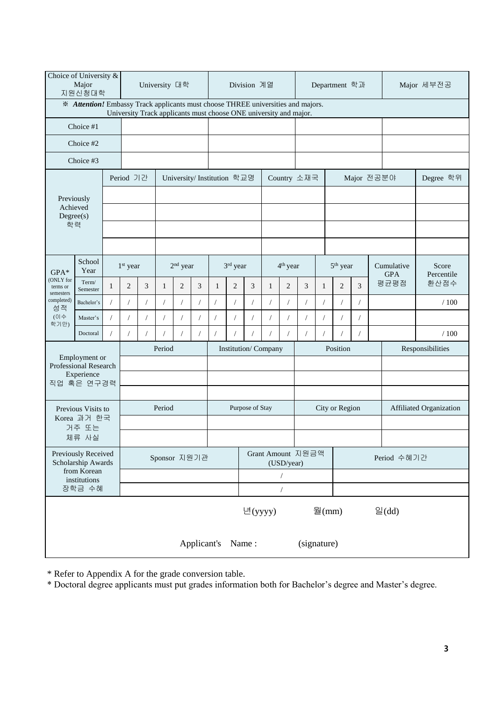| Choice of University &<br>Major<br>지원신청대학 |                                                                                  |              |                      | University 대학 |              |                                                                   |            |                            |                                 | Division 계열<br>Department 학과 |            |                      |                           |                |                      | Major 세부전공       |  |                          |                     |
|-------------------------------------------|----------------------------------------------------------------------------------|--------------|----------------------|---------------|--------------|-------------------------------------------------------------------|------------|----------------------------|---------------------------------|------------------------------|------------|----------------------|---------------------------|----------------|----------------------|------------------|--|--------------------------|---------------------|
|                                           | * Attention! Embassy Track applicants must choose THREE universities and majors. |              |                      |               |              |                                                                   |            |                            |                                 |                              |            |                      |                           |                |                      |                  |  |                          |                     |
|                                           | Choice #1                                                                        |              |                      |               |              | University Track applicants must choose ONE university and major. |            |                            |                                 |                              |            |                      |                           |                |                      |                  |  |                          |                     |
|                                           | Choice #2                                                                        |              |                      |               |              |                                                                   |            |                            |                                 |                              |            |                      |                           |                |                      |                  |  |                          |                     |
|                                           | Choice #3                                                                        |              |                      |               |              |                                                                   |            |                            |                                 |                              |            |                      |                           |                |                      |                  |  |                          |                     |
|                                           |                                                                                  |              | Period 기간            |               |              |                                                                   |            | University/Institution 학교명 |                                 |                              |            |                      | Country 소재국<br>Major 전공분야 |                |                      |                  |  |                          | Degree 학위           |
|                                           | Previously                                                                       |              |                      |               |              |                                                                   |            |                            |                                 |                              |            |                      |                           |                |                      |                  |  |                          |                     |
|                                           | Achieved<br>Degree(s)                                                            |              |                      |               |              |                                                                   |            |                            |                                 |                              |            |                      |                           |                |                      |                  |  |                          |                     |
|                                           | 학력                                                                               |              |                      |               |              |                                                                   |            |                            |                                 |                              |            |                      |                           |                |                      |                  |  |                          |                     |
|                                           |                                                                                  |              |                      |               |              |                                                                   |            |                            |                                 |                              |            |                      |                           |                |                      |                  |  |                          |                     |
| $GPA*$                                    | School<br>Year                                                                   |              | 1 <sup>st</sup> year |               |              | 2 <sup>nd</sup> year                                              |            |                            | 3rd year                        |                              |            | 4 <sup>th</sup> year |                           |                | 5 <sup>th</sup> year |                  |  | Cumulative<br><b>GPA</b> | Score<br>Percentile |
| (ONLY for<br>terms or<br>semesters        | Term/<br>Semester                                                                | $\mathbf{1}$ | $\boldsymbol{2}$     | 3             | 1            | $\overline{2}$                                                    | 3          | 1                          | 2                               | 3                            | 1          | $\overline{c}$       | 3                         | 1              | 2                    | 3                |  | 평균평점                     | 환산점수                |
| completed)<br>성적                          | Bachelor's                                                                       |              | $\prime$             | $\sqrt{2}$    | $\sqrt{2}$   | $\sqrt{2}$                                                        | $\sqrt{2}$ | $\sqrt{2}$                 | $\overline{1}$                  | $\overline{1}$               | $\sqrt{2}$ | $\sqrt{2}$           | $\sqrt{2}$                | $\sqrt{2}$     | $\sqrt{2}$           | 1                |  |                          | /100                |
| (이수<br>학기만)                               | Master's                                                                         |              | $\prime$             | $\sqrt{2}$    | $\sqrt{2}$   | $\sqrt{2}$                                                        | $\sqrt{2}$ | $\sqrt{2}$                 |                                 |                              |            | $\sqrt{2}$           | $\sqrt{2}$                | $\sqrt{2}$     | $\sqrt{2}$           | $\overline{1}$   |  |                          |                     |
|                                           | Doctoral                                                                         |              |                      | $\sqrt{2}$    |              | $\prime$                                                          |            | $\sqrt{2}$                 |                                 |                              |            |                      | $\sqrt{2}$                |                | $\sqrt{2}$           |                  |  |                          | /100                |
|                                           | Employment or                                                                    |              |                      |               | Period       |                                                                   |            | Institution/Company        |                                 |                              |            |                      | Position                  |                |                      | Responsibilities |  |                          |                     |
|                                           | Professional Research<br>Experience                                              |              |                      |               |              |                                                                   |            |                            |                                 |                              |            |                      |                           |                |                      |                  |  |                          |                     |
|                                           | 직업 혹은 연구경력                                                                       |              |                      |               |              |                                                                   |            |                            |                                 |                              |            |                      |                           |                |                      |                  |  |                          |                     |
|                                           | Previous Visits to                                                               |              |                      |               | Period       |                                                                   |            |                            |                                 | Purpose of Stay              |            |                      |                           | City or Region |                      |                  |  | Affiliated Organization  |                     |
|                                           | Korea 과거 한국<br>거주 또는                                                             |              |                      |               |              |                                                                   |            |                            |                                 |                              |            |                      |                           |                |                      |                  |  |                          |                     |
|                                           | 체류 사실                                                                            |              |                      |               |              |                                                                   |            |                            |                                 |                              |            |                      |                           |                |                      |                  |  |                          |                     |
|                                           | Previously Received<br>Scholarship Awards                                        |              |                      |               | Sponsor 지원기관 |                                                                   |            |                            | Grant Amount 지원금액<br>(USD/year) |                              |            |                      |                           | Period 수혜기간    |                      |                  |  |                          |                     |
|                                           | from Korean<br>institutions                                                      |              |                      |               |              |                                                                   |            |                            |                                 |                              |            |                      |                           |                |                      |                  |  |                          |                     |
|                                           | 장학금 수혜                                                                           |              |                      |               |              |                                                                   |            |                            |                                 |                              |            |                      |                           |                |                      |                  |  |                          |                     |
|                                           |                                                                                  |              |                      |               |              |                                                                   |            |                            |                                 | 년(yyyy)                      |            |                      |                           | 월 $(mm)$       |                      |                  |  | $\trianglelefteq$ (dd)   |                     |
|                                           | Applicant's<br>Name:<br>(signature)                                              |              |                      |               |              |                                                                   |            |                            |                                 |                              |            |                      |                           |                |                      |                  |  |                          |                     |

\* Refer to Appendix A for the grade conversion table.

\* Doctoral degree applicants must put grades information both for Bachelor's degree and Master's degree.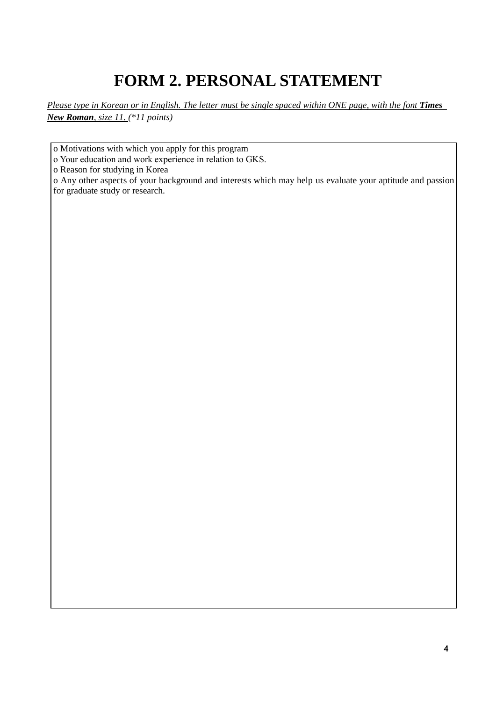## **FORM 2. PERSONAL STATEMENT**

*Please type in Korean or in English. The letter must be single spaced within ONE page, with the font Times New Roman, size 11. (\*11 points)*

o Motivations with which you apply for this program

o Your education and work experience in relation to GKS.

o Reason for studying in Korea

o Any other aspects of your background and interests which may help us evaluate your aptitude and passion for graduate study or research.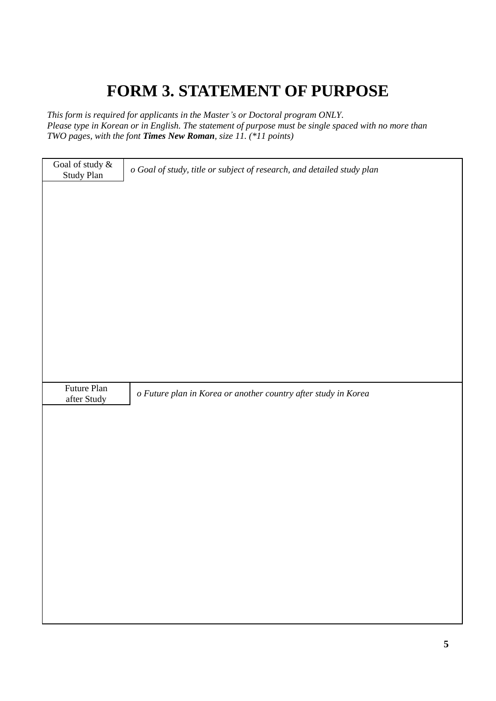### **FORM 3. STATEMENT OF PURPOSE**

*This form is required for applicants in the Master's or Doctoral program ONLY. Please type in Korean or in English. The statement of purpose must be single spaced with no more than TWO pages, with the font Times New Roman, size 11. (\*11 points)*

| Goal of study $\&$<br>Study Plan | o Goal of study, title or subject of research, and detailed study plan |
|----------------------------------|------------------------------------------------------------------------|
|                                  |                                                                        |
|                                  |                                                                        |
|                                  |                                                                        |
|                                  |                                                                        |
|                                  |                                                                        |
|                                  |                                                                        |
|                                  |                                                                        |
|                                  |                                                                        |
|                                  |                                                                        |
|                                  |                                                                        |
|                                  |                                                                        |
| Future Plan                      |                                                                        |
| after Study                      | o Future plan in Korea or another country after study in Korea         |
|                                  |                                                                        |
|                                  |                                                                        |
|                                  |                                                                        |
|                                  |                                                                        |
|                                  |                                                                        |
|                                  |                                                                        |
|                                  |                                                                        |
|                                  |                                                                        |
|                                  |                                                                        |
|                                  |                                                                        |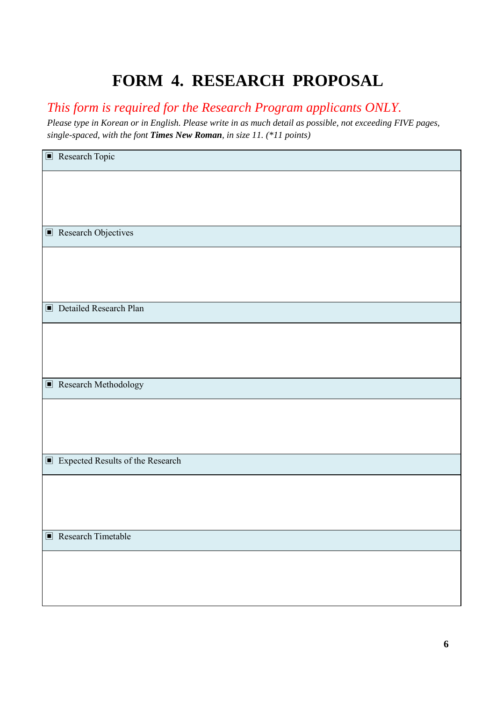### **FORM 4. RESEARCH PROPOSAL**

*This form is required for the Research Program applicants ONLY.* 

*Please type in Korean or in English. Please write in as much detail as possible, not exceeding FIVE pages, single-spaced, with the font Times New Roman, in size 11. (\*11 points)*

| $\blacksquare$ Research Topic                      |
|----------------------------------------------------|
|                                                    |
|                                                    |
|                                                    |
| $\blacksquare$ Research Objectives                 |
|                                                    |
|                                                    |
|                                                    |
| Detailed Research Plan                             |
|                                                    |
|                                                    |
|                                                    |
| Research Methodology                               |
|                                                    |
|                                                    |
|                                                    |
| $\blacksquare$<br>Expected Results of the Research |
|                                                    |
|                                                    |
|                                                    |
| $\blacksquare$ Research Timetable                  |
|                                                    |
|                                                    |
|                                                    |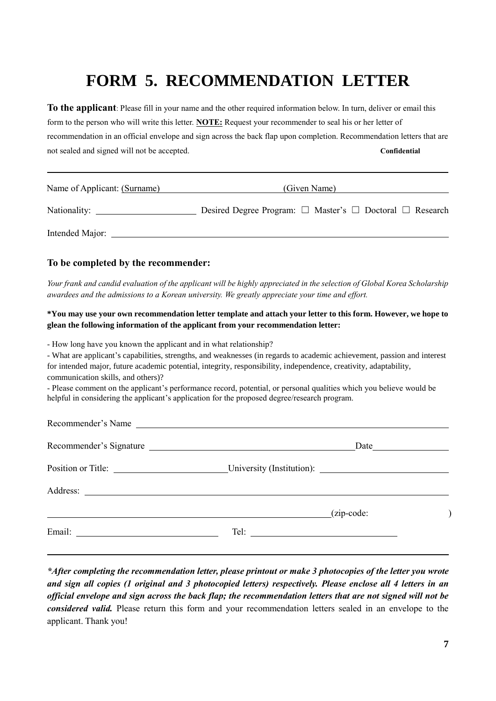### **FORM 5. RECOMMENDATION LETTER**

**To the applicant**: Please fill in your name and the other required information below. In turn, deliver or email this form to the person who will write this letter. **NOTE:** Request your recommender to seal his or her letter of recommendation in an official envelope and sign across the back flap upon completion. Recommendation letters that are not sealed and signed will not be accepted. **Confidential**

| Name of Applicant: (Surname) | (Given Name)                                                            |  |  |  |  |  |  |  |
|------------------------------|-------------------------------------------------------------------------|--|--|--|--|--|--|--|
| Nationality:                 | Desired Degree Program: $\Box$ Master's $\Box$ Doctoral $\Box$ Research |  |  |  |  |  |  |  |
| Intended Major:              |                                                                         |  |  |  |  |  |  |  |

#### **To be completed by the recommender:**

l,

*Your frank and candid evaluation of the applicant will be highly appreciated in the selection of Global Korea Scholarship awardees and the admissions to a Korean university. We greatly appreciate your time and effort.*

#### **\*You may use your own recommendation letter template and attach your letter to this form. However, we hope to glean the following information of the applicant from your recommendation letter:**

- How long have you known the applicant and in what relationship?

- What are applicant's capabilities, strengths, and weaknesses (in regards to academic achievement, passion and interest for intended major, future academic potential, integrity, responsibility, independence, creativity, adaptability, communication skills, and others)?

- Please comment on the applicant's performance record, potential, or personal qualities which you believe would be helpful in considering the applicant's application for the proposed degree/research program.

| Recommender's Name                           |  |
|----------------------------------------------|--|
| Recommender's Signature                      |  |
| Position or Title: University (Institution): |  |
|                                              |  |
| $(zip-code:$                                 |  |
|                                              |  |
|                                              |  |

*\*After completing the recommendation letter, please printout or make 3 photocopies of the letter you wrote and sign all copies (1 original and 3 photocopied letters) respectively. Please enclose all 4 letters in an official envelope and sign across the back flap; the recommendation letters that are not signed will not be considered valid.* Please return this form and your recommendation letters sealed in an envelope to the applicant. Thank you!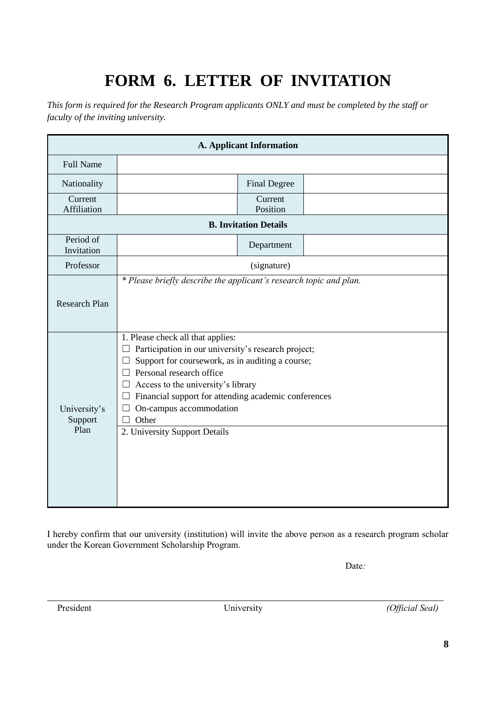# **FORM 6. LETTER OF INVITATION**

*This form is required for the Research Program applicants ONLY and must be completed by the staff or faculty of the inviting university.* 

|                                 |                                                                                                                                                                                                                                                                                                                                                        | <b>A. Applicant Information</b> |  |
|---------------------------------|--------------------------------------------------------------------------------------------------------------------------------------------------------------------------------------------------------------------------------------------------------------------------------------------------------------------------------------------------------|---------------------------------|--|
| <b>Full Name</b>                |                                                                                                                                                                                                                                                                                                                                                        |                                 |  |
| Nationality                     |                                                                                                                                                                                                                                                                                                                                                        | <b>Final Degree</b>             |  |
| Current<br>Affiliation          |                                                                                                                                                                                                                                                                                                                                                        | Current<br>Position             |  |
|                                 |                                                                                                                                                                                                                                                                                                                                                        | <b>B. Invitation Details</b>    |  |
| Period of<br>Invitation         |                                                                                                                                                                                                                                                                                                                                                        | Department                      |  |
| Professor                       |                                                                                                                                                                                                                                                                                                                                                        | (signature)                     |  |
| <b>Research Plan</b>            | * Please briefly describe the applicant's research topic and plan.                                                                                                                                                                                                                                                                                     |                                 |  |
| University's<br>Support<br>Plan | 1. Please check all that applies:<br>Participation in our university's research project;<br>Support for coursework, as in auditing a course;<br>Personal research office<br>$\perp$<br>Access to the university's library<br>Financial support for attending academic conferences<br>On-campus accommodation<br>Other<br>2. University Support Details |                                 |  |
|                                 |                                                                                                                                                                                                                                                                                                                                                        |                                 |  |

I hereby confirm that our university (institution) will invite the above person as a research program scholar under the Korean Government Scholarship Program.

Date: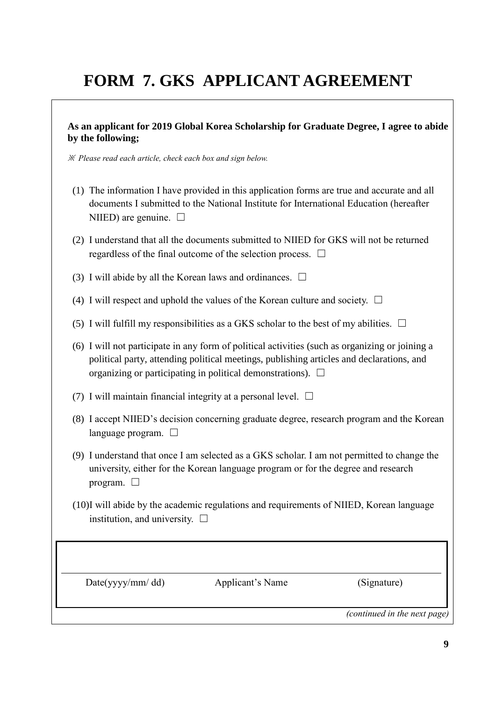# **FORM 7. GKS APPLICANT AGREEMENT**

#### **As an applicant for 2019 Global Korea Scholarship for Graduate Degree, I agree to abide by the following;**

※ *Please read each article, check each box and sign below.*

- (1) The information I have provided in this application forms are true and accurate and all documents I submitted to the National Institute for International Education (hereafter NIIED) are genuine.  $\Box$
- (2) I understand that all the documents submitted to NIIED for GKS will not be returned regardless of the final outcome of the selection process.  $\Box$
- (3) I will abide by all the Korean laws and ordinances.  $\Box$
- (4) I will respect and uphold the values of the Korean culture and society.  $\Box$
- (5) I will fulfill my responsibilities as a GKS scholar to the best of my abilities.  $\Box$
- (6) I will not participate in any form of political activities (such as organizing or joining a political party, attending political meetings, publishing articles and declarations, and organizing or participating in political demonstrations).  $\Box$
- (7) I will maintain financial integrity at a personal level.  $\Box$
- (8) I accept NIIED's decision concerning graduate degree, research program and the Korean language program. □
- (9) I understand that once I am selected as a GKS scholar. I am not permitted to change the university, either for the Korean language program or for the degree and research program.  $\square$
- (10)I will abide by the academic regulations and requirements of NIIED, Korean language institution, and university.  $\Box$

Date(yyyy/mm/dd) Applicant's Name (Signature)

*(continued in the next page)*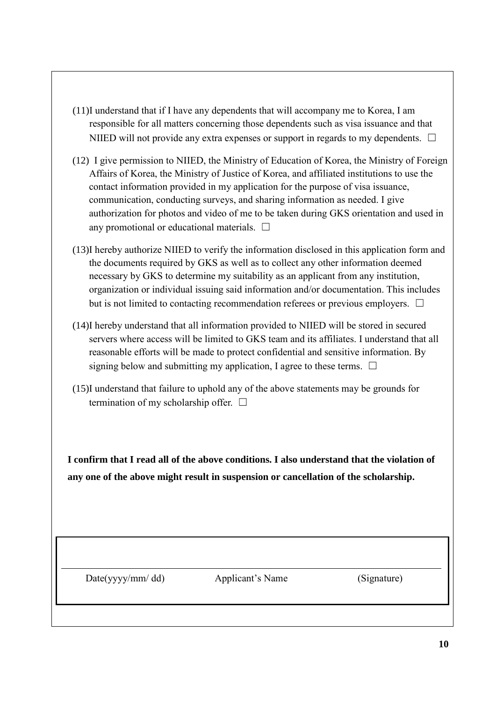- (11)I understand that if I have any dependents that will accompany me to Korea, I am responsible for all matters concerning those dependents such as visa issuance and that NIIED will not provide any extra expenses or support in regards to my dependents.  $\Box$
- (12) I give permission to NIIED, the Ministry of Education of Korea, the Ministry of Foreign Affairs of Korea, the Ministry of Justice of Korea, and affiliated institutions to use the contact information provided in my application for the purpose of visa issuance, communication, conducting surveys, and sharing information as needed. I give authorization for photos and video of me to be taken during GKS orientation and used in any promotional or educational materials.  $\Box$
- (13)I hereby authorize NIIED to verify the information disclosed in this application form and the documents required by GKS as well as to collect any other information deemed necessary by GKS to determine my suitability as an applicant from any institution, organization or individual issuing said information and/or documentation. This includes but is not limited to contacting recommendation referees or previous employers.  $\Box$
- (14)I hereby understand that all information provided to NIIED will be stored in secured servers where access will be limited to GKS team and its affiliates. I understand that all reasonable efforts will be made to protect confidential and sensitive information. By signing below and submitting my application, I agree to these terms.  $\Box$
- (15)I understand that failure to uphold any of the above statements may be grounds for termination of my scholarship offer.  $\Box$

**I confirm that I read all of the above conditions. I also understand that the violation of any one of the above might result in suspension or cancellation of the scholarship.**

Date(yyyy/mm/ dd) Applicant's Name (Signature)